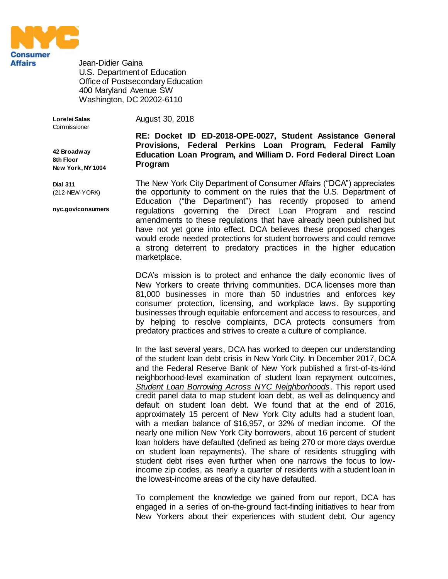

Jean-Didier Gaina U.S. Department of Education Office of Postsecondary Education 400 Maryland Avenue SW Washington, DC 20202-6110

**Lorelei Salas** Commissioner August 30, 2018

**42 Broadway 8th Floor New York, NY 1004** **RE: Docket ID ED-2018-OPE-0027, Student Assistance General Provisions, Federal Perkins Loan Program, Federal Family Education Loan Program, and William D. Ford Federal Direct Loan Program**

**Dial 311** (212-NEW-YORK)

**nyc.gov/consumers**

The New York City Department of Consumer Affairs ("DCA") appreciates the opportunity to comment on the rules that the U.S. Department of Education ("the Department") has recently proposed to amend regulations governing the Direct Loan Program and rescind amendments to these regulations that have already been published but have not yet gone into effect. DCA believes these proposed changes would erode needed protections for student borrowers and could remove a strong deterrent to predatory practices in the higher education marketplace.

DCA's mission is to protect and enhance the daily economic lives of New Yorkers to create thriving communities. DCA licenses more than 81,000 businesses in more than 50 industries and enforces key consumer protection, licensing, and workplace laws. By supporting businesses through equitable enforcement and access to resources, and by helping to resolve complaints, DCA protects consumers from predatory practices and strives to create a culture of compliance.

In the last several years, DCA has worked to deepen our understanding of the student loan debt crisis in New York City. In December 2017, DCA and the Federal Reserve Bank of New York published a first-of-its-kind neighborhood-level examination of student loan repayment outcomes, *[Student Loan Borrowing Across NYC Neighborhoods](https://www.newyorkfed.org/medialibrary/media/outreach-and-education/community-development/credit-conditions/student-loan-borrowing-nyc-neighborhoods.pdf)*. This report used credit panel data to map student loan debt, as well as delinquency and default on student loan debt. We found that at the end of 2016, approximately 15 percent of New York City adults had a student loan, with a median balance of \$16,957, or 32% of median income. Of the nearly one million New York City borrowers, about 16 percent of student loan holders have defaulted (defined as being 270 or more days overdue on student loan repayments). The share of residents struggling with student debt rises even further when one narrows the focus to lowincome zip codes, as nearly a quarter of residents with a student loan in the lowest-income areas of the city have defaulted.

To complement the knowledge we gained from our report, DCA has engaged in a series of on-the-ground fact-finding initiatives to hear from New Yorkers about their experiences with student debt. Our agency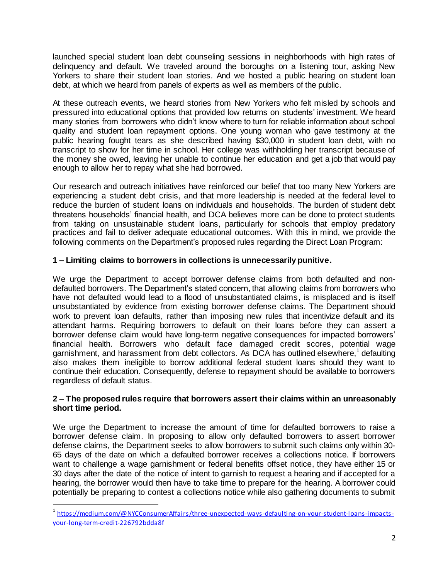launched special student loan debt counseling sessions in neighborhoods with high rates of delinquency and default. We traveled around the boroughs on a listening tour, asking New Yorkers to share their student loan stories. And we hosted a public hearing on student loan debt, at which we heard from panels of experts as well as members of the public.

At these outreach events, we heard stories from New Yorkers who felt misled by schools and pressured into educational options that provided low returns on students' investment. We heard many stories from borrowers who didn't know where to turn for reliable information about school quality and student loan repayment options. One young woman who gave testimony at the public hearing fought tears as she described having \$30,000 in student loan debt, with no transcript to show for her time in school. Her college was withholding her transcript because of the money she owed, leaving her unable to continue her education and get a job that would pay enough to allow her to repay what she had borrowed.

Our research and outreach initiatives have reinforced our belief that too many New Yorkers are experiencing a student debt crisis, and that more leadership is needed at the federal level to reduce the burden of student loans on individuals and households. The burden of student debt threatens households' financial health, and DCA believes more can be done to protect students from taking on unsustainable student loans, particularly for schools that employ predatory practices and fail to deliver adequate educational outcomes. With this in mind, we provide the following comments on the Department's proposed rules regarding the Direct Loan Program:

# **1 – Limiting claims to borrowers in collections is unnecessarily punitive.**

We urge the Department to accept borrower defense claims from both defaulted and nondefaulted borrowers. The Department's stated concern, that allowing claims from borrowers who have not defaulted would lead to a flood of unsubstantiated claims, is misplaced and is itself unsubstantiated by evidence from existing borrower defense claims. The Department should work to prevent loan defaults, rather than imposing new rules that incentivize default and its attendant harms. Requiring borrowers to default on their loans before they can assert a borrower defense claim would have long-term negative consequences for impacted borrowers' financial health. Borrowers who default face damaged credit scores, potential wage garnishment, and harassment from debt collectors. As DCA has outlined elsewhere,<sup>1</sup> defaulting also makes them ineligible to borrow additional federal student loans should they want to continue their education. Consequently, defense to repayment should be available to borrowers regardless of default status.

# **2 – The proposed rules require that borrowers assert their claims within an unreasonably short time period.**

We urge the Department to increase the amount of time for defaulted borrowers to raise a borrower defense claim. In proposing to allow only defaulted borrowers to assert borrower defense claims, the Department seeks to allow borrowers to submit such claims only within 30- 65 days of the date on which a defaulted borrower receives a collections notice. If borrowers want to challenge a wage garnishment or federal benefits offset notice, they have either 15 or 30 days after the date of the notice of intent to garnish to request a hearing and if accepted for a hearing, the borrower would then have to take time to prepare for the hearing. A borrower could potentially be preparing to contest a collections notice while also gathering documents to submit

l

<sup>&</sup>lt;sup>1</sup> [https://medium.com/@NYCConsumerAffairs/three-unexpected-ways-defaulting-on-your-student-loans-impacts](https://medium.com/@NYCConsumerAffairs/three-unexpected-ways-defaulting-on-your-student-loans-impacts-your-long-term-credit-226792bdda8f)[your-long-term-credit-226792bdda8f](https://medium.com/@NYCConsumerAffairs/three-unexpected-ways-defaulting-on-your-student-loans-impacts-your-long-term-credit-226792bdda8f)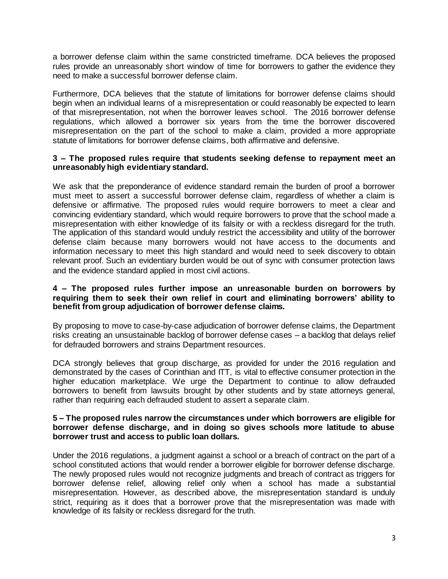a borrower defense claim within the same constricted timeframe. DCA believes the proposed rules provide an unreasonably short window of time for borrowers to gather the evidence they need to make a successful borrower defense claim.

Furthermore, DCA believes that the statute of limitations for borrower defense claims should begin when an individual learns of a misrepresentation or could reasonably be expected to learn of that misrepresentation, not when the borrower leaves school. The 2016 borrower defense regulations, which allowed a borrower six years from the time the borrower discovered misrepresentation on the part of the school to make a claim, provided a more appropriate statute of limitations for borrower defense claims, both affirmative and defensive.

# **3 – The proposed rules require that students seeking defense to repayment meet an unreasonably high evidentiary standard.**

We ask that the preponderance of evidence standard remain the burden of proof a borrower must meet to assert a successful borrower defense claim, regardless of whether a claim is defensive or affirmative. The proposed rules would require borrowers to meet a clear and convincing evidentiary standard, which would require borrowers to prove that the school made a misrepresentation with either knowledge of its falsity or with a reckless disregard for the truth. The application of this standard would unduly restrict the accessibility and utility of the borrower defense claim because many borrowers would not have access to the documents and information necessary to meet this high standard and would need to seek discovery to obtain relevant proof. Such an evidentiary burden would be out of sync with consumer protection laws and the evidence standard applied in most civil actions.

# **4 – The proposed rules further impose an unreasonable burden on borrowers by requiring them to seek their own relief in court and eliminating borrowers' ability to benefit from group adjudication of borrower defense claims.**

By proposing to move to case-by-case adjudication of borrower defense claims, the Department risks creating an unsustainable backlog of borrower defense cases – a backlog that delays relief for defrauded borrowers and strains Department resources.

DCA strongly believes that group discharge, as provided for under the 2016 regulation and demonstrated by the cases of Corinthian and ITT, is vital to effective consumer protection in the higher education marketplace. We urge the Department to continue to allow defrauded borrowers to benefit from lawsuits brought by other students and by state attorneys general, rather than requiring each defrauded student to assert a separate claim.

### **5 – The proposed rules narrow the circumstances under which borrowers are eligible for borrower defense discharge, and in doing so gives schools more latitude to abuse borrower trust and access to public loan dollars.**

Under the 2016 regulations, a judgment against a school or a breach of contract on the part of a school constituted actions that would render a borrower eligible for borrower defense discharge. The newly proposed rules would not recognize judgments and breach of contract as triggers for borrower defense relief, allowing relief only when a school has made a substantial misrepresentation. However, as described above, the misrepresentation standard is unduly strict, requiring as it does that a borrower prove that the misrepresentation was made with knowledge of its falsity or reckless disregard for the truth.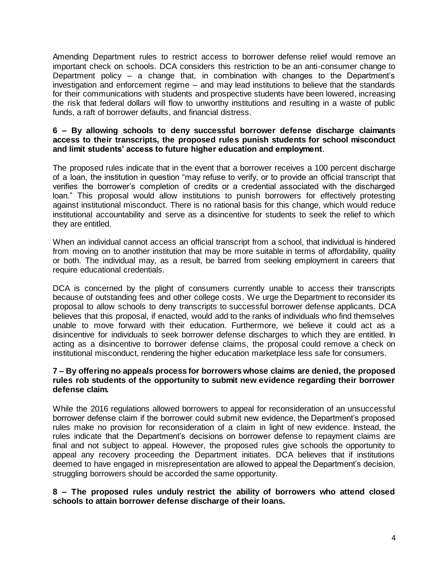Amending Department rules to restrict access to borrower defense relief would remove an important check on schools. DCA considers this restriction to be an anti-consumer change to Department policy – a change that, in combination with changes to the Department's investigation and enforcement regime – and may lead institutions to believe that the standards for their communications with students and prospective students have been lowered, increasing the risk that federal dollars will flow to unworthy institutions and resulting in a waste of public funds, a raft of borrower defaults, and financial distress.

# **6 – By allowing schools to deny successful borrower defense discharge claimants access to their transcripts, the proposed rules punish students for school misconduct and limit students' access to future higher education and employment**.

The proposed rules indicate that in the event that a borrower receives a 100 percent discharge of a loan, the institution in question "may refuse to verify, or to provide an official transcript that verifies the borrower's completion of credits or a credential associated with the discharged loan." This proposal would allow institutions to punish borrowers for effectively protesting against institutional misconduct. There is no rational basis for this change, which would reduce institutional accountability and serve as a disincentive for students to seek the relief to which they are entitled.

When an individual cannot access an official transcript from a school, that individual is hindered from moving on to another institution that may be more suitable in terms of affordability, quality or both. The individual may, as a result, be barred from seeking employment in careers that require educational credentials.

DCA is concerned by the plight of consumers currently unable to access their transcripts because of outstanding fees and other college costs. We urge the Department to reconsider its proposal to allow schools to deny transcripts to successful borrower defense applicants. DCA believes that this proposal, if enacted, would add to the ranks of individuals who find themselves unable to move forward with their education. Furthermore, we believe it could act as a disincentive for individuals to seek borrower defense discharges to which they are entitled. In acting as a disincentive to borrower defense claims, the proposal could remove a check on institutional misconduct, rendering the higher education marketplace less safe for consumers.

# **7 – By offering no appeals process for borrowers whose claims are denied, the proposed rules rob students of the opportunity to submit new evidence regarding their borrower defense claim.**

While the 2016 regulations allowed borrowers to appeal for reconsideration of an unsuccessful borrower defense claim if the borrower could submit new evidence, the Department's proposed rules make no provision for reconsideration of a claim in light of new evidence. Instead, the rules indicate that the Department's decisions on borrower defense to repayment claims are final and not subject to appeal. However, the proposed rules give schools the opportunity to appeal any recovery proceeding the Department initiates. DCA believes that if institutions deemed to have engaged in misrepresentation are allowed to appeal the Department's decision, struggling borrowers should be accorded the same opportunity.

# **8 – The proposed rules unduly restrict the ability of borrowers who attend closed schools to attain borrower defense discharge of their loans.**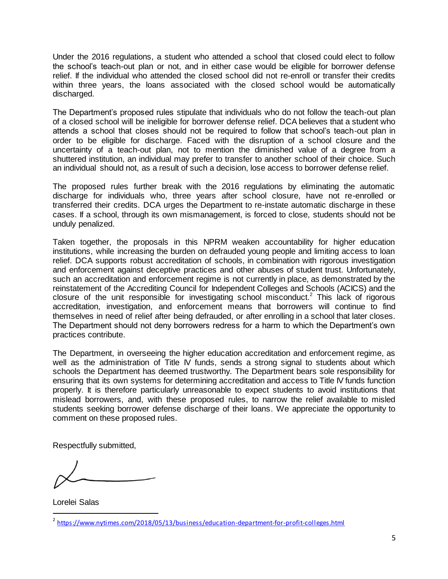Under the 2016 regulations, a student who attended a school that closed could elect to follow the school's teach-out plan or not, and in either case would be eligible for borrower defense relief. If the individual who attended the closed school did not re-enroll or transfer their credits within three years, the loans associated with the closed school would be automatically discharged.

The Department's proposed rules stipulate that individuals who do not follow the teach-out plan of a closed school will be ineligible for borrower defense relief. DCA believes that a student who attends a school that closes should not be required to follow that school's teach-out plan in order to be eligible for discharge. Faced with the disruption of a school closure and the uncertainty of a teach-out plan, not to mention the diminished value of a degree from a shuttered institution, an individual may prefer to transfer to another school of their choice. Such an individual should not, as a result of such a decision, lose access to borrower defense relief.

The proposed rules further break with the 2016 regulations by eliminating the automatic discharge for individuals who, three years after school closure, have not re-enrolled or transferred their credits. DCA urges the Department to re-instate automatic discharge in these cases. If a school, through its own mismanagement, is forced to close, students should not be unduly penalized.

Taken together, the proposals in this NPRM weaken accountability for higher education institutions, while increasing the burden on defrauded young people and limiting access to loan relief. DCA supports robust accreditation of schools, in combination with rigorous investigation and enforcement against deceptive practices and other abuses of student trust. Unfortunately, such an accreditation and enforcement regime is not currently in place, as demonstrated by the reinstatement of the Accrediting Council for Independent Colleges and Schools (ACICS) and the closure of the unit responsible for investigating school misconduct.<sup>2</sup> This lack of rigorous accreditation, investigation, and enforcement means that borrowers will continue to find themselves in need of relief after being defrauded, or after enrolling in a school that later closes. The Department should not deny borrowers redress for a harm to which the Department's own practices contribute.

The Department, in overseeing the higher education accreditation and enforcement regime, as well as the administration of Title IV funds, sends a strong signal to students about which schools the Department has deemed trustworthy. The Department bears sole responsibility for ensuring that its own systems for determining accreditation and access to Title IV funds function properly. It is therefore particularly unreasonable to expect students to avoid institutions that mislead borrowers, and, with these proposed rules, to narrow the relief available to misled students seeking borrower defense discharge of their loans. We appreciate the opportunity to comment on these proposed rules.

Respectfully submitted,

Lorelei Salas

 $\overline{a}$ 

<sup>&</sup>lt;sup>2</sup> <https://www.nytimes.com/2018/05/13/business/education-department-for-profit-colleges.html>